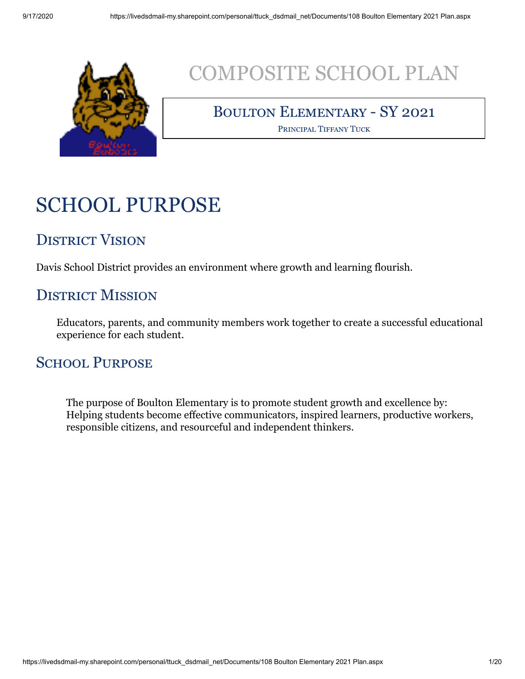

## COMPOSITE SCHOOL PLAN

## BOULTON ELEMENTARY - SY 2021

PRINCIPAL TIFFANY TUCK

# SCHOOL PURPOSE

## **DISTRICT VISION**

Davis School District provides an environment where growth and learning flourish.

## **DISTRICT MISSION**

Educators, parents, and community members work together to create a successful educational experience for each student.

### **SCHOOL PURPOSE**

The purpose of Boulton Elementary is to promote student growth and excellence by: Helping students become effective communicators, inspired learners, productive workers, responsible citizens, and resourceful and independent thinkers.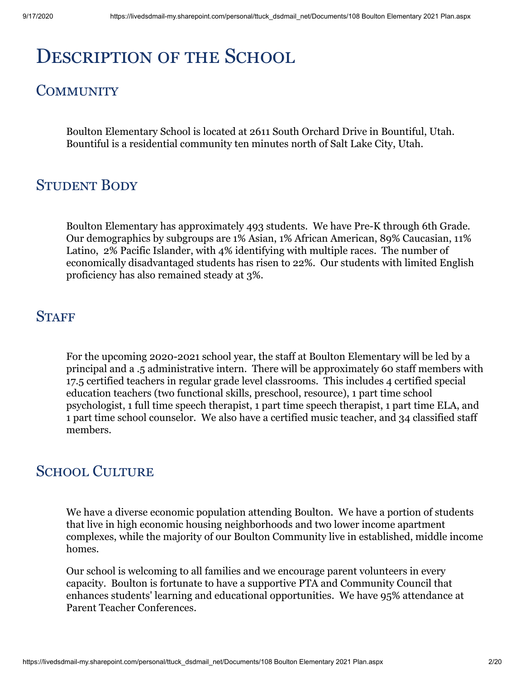## **DESCRIPTION OF THE SCHOOL**

### **COMMUNITY**

Boulton Elementary School is located at 2611 South Orchard Drive in Bountiful, Utah. Bountiful is a residential community ten minutes north of Salt Lake City, Utah.

### **STUDENT BODY**

Boulton Elementary has approximately 493 students. We have Pre-K through 6th Grade. Our demographics by subgroups are 1% Asian, 1% African American, 89% Caucasian, 11% Latino, 2% Pacific Islander, with 4% identifying with multiple races. The number of economically disadvantaged students has risen to 22%. Our students with limited English proficiency has also remained steady at 3%.

### **STAFF**

For the upcoming 2020-2021 school year, the staff at Boulton Elementary will be led by a principal and a .5 administrative intern. There will be approximately 60 staff members with 17.5 certified teachers in regular grade level classrooms. This includes 4 certified special education teachers (two functional skills, preschool, resource), 1 part time school psychologist, 1 full time speech therapist, 1 part time speech therapist, 1 part time ELA, and 1 part time school counselor. We also have a certified music teacher, and 34 classified staff members.

### **SCHOOL CULTURE**

We have a diverse economic population attending Boulton. We have a portion of students that live in high economic housing neighborhoods and two lower income apartment complexes, while the majority of our Boulton Community live in established, middle income homes.

Our school is welcoming to all families and we encourage parent volunteers in every capacity. Boulton is fortunate to have a supportive PTA and Community Council that enhances students' learning and educational opportunities. We have 95% attendance at Parent Teacher Conferences.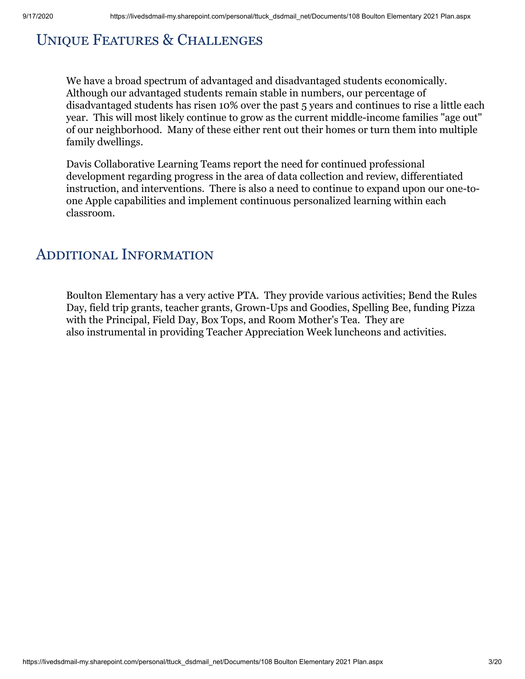## UNIQUE FEATURES & CHALLENGES

We have a broad spectrum of advantaged and disadvantaged students economically. Although our advantaged students remain stable in numbers, our percentage of disadvantaged students has risen 10% over the past 5 years and continues to rise a little each year. This will most likely continue to grow as the current middle-income families "age out" of our neighborhood. Many of these either rent out their homes or turn them into multiple family dwellings.

Davis Collaborative Learning Teams report the need for continued professional development regarding progress in the area of data collection and review, differentiated instruction, and interventions. There is also a need to continue to expand upon our one-toone Apple capabilities and implement continuous personalized learning within each classroom.

### **ADDITIONAL INFORMATION**

Boulton Elementary has a very active PTA. They provide various activities; Bend the Rules Day, field trip grants, teacher grants, Grown-Ups and Goodies, Spelling Bee, funding Pizza with the Principal, Field Day, Box Tops, and Room Mother's Tea. They are also instrumental in providing Teacher Appreciation Week luncheons and activities.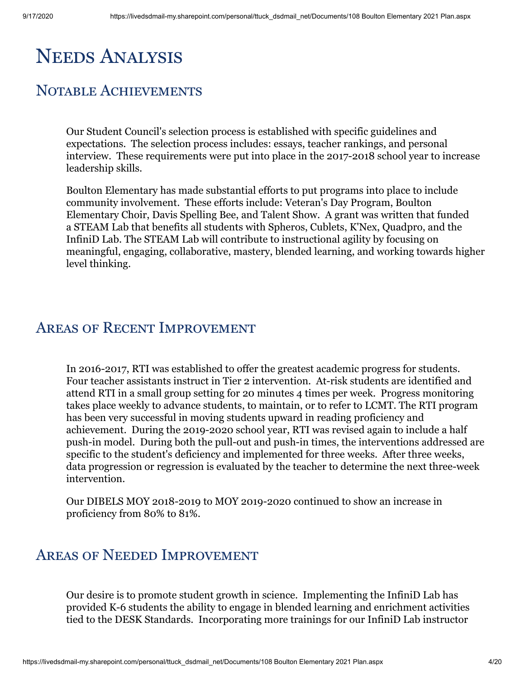## **NEEDS ANALYSIS**

### **NOTABLE ACHIEVEMENTS**

Our Student Council's selection process is established with specific guidelines and expectations. The selection process includes: essays, teacher rankings, and personal interview. These requirements were put into place in the 2017-2018 school year to increase leadership skills.

Boulton Elementary has made substantial efforts to put programs into place to include community involvement. These efforts include: Veteran's Day Program, Boulton Elementary Choir, Davis Spelling Bee, and Talent Show. A grant was written that funded a STEAM Lab that benefits all students with Spheros, Cublets, K'Nex, Quadpro, and the InfiniD Lab. The STEAM Lab will contribute to instructional agility by focusing on meaningful, engaging, collaborative, mastery, blended learning, and working towards higher level thinking.

### **AREAS OF RECENT IMPROVEMENT**

In 2016-2017, RTI was established to offer the greatest academic progress for students. Four teacher assistants instruct in Tier 2 intervention. At-risk students are identified and attend RTI in a small group setting for 20 minutes 4 times per week. Progress monitoring takes place weekly to advance students, to maintain, or to refer to LCMT. The RTI program has been very successful in moving students upward in reading proficiency and achievement. During the 2019-2020 school year, RTI was revised again to include a half push-in model. During both the pull-out and push-in times, the interventions addressed are specific to the student's deficiency and implemented for three weeks. After three weeks, data progression or regression is evaluated by the teacher to determine the next three-week intervention.

Our DIBELS MOY 2018-2019 to MOY 2019-2020 continued to show an increase in proficiency from 80% to 81%.

### **AREAS OF NEEDED IMPROVEMENT**

Our desire is to promote student growth in science. Implementing the InfiniD Lab has provided K-6 students the ability to engage in blended learning and enrichment activities tied to the DESK Standards. Incorporating more trainings for our InfiniD Lab instructor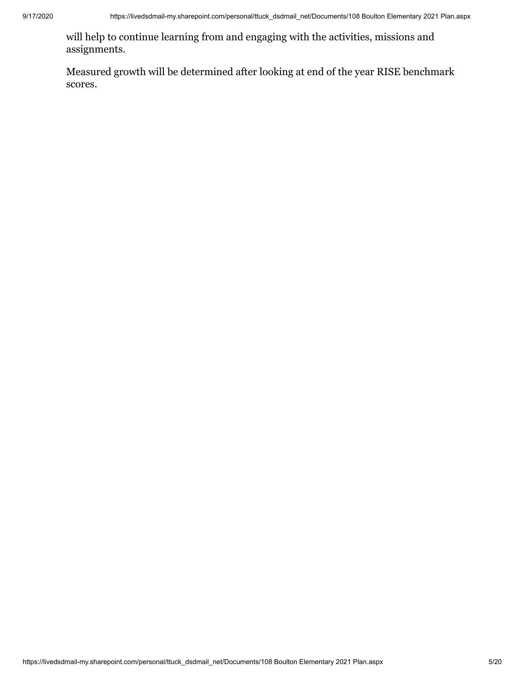will help to continue learning from and engaging with the activities, missions and assignments.

Measured growth will be determined after looking at end of the year RISE benchmark scores.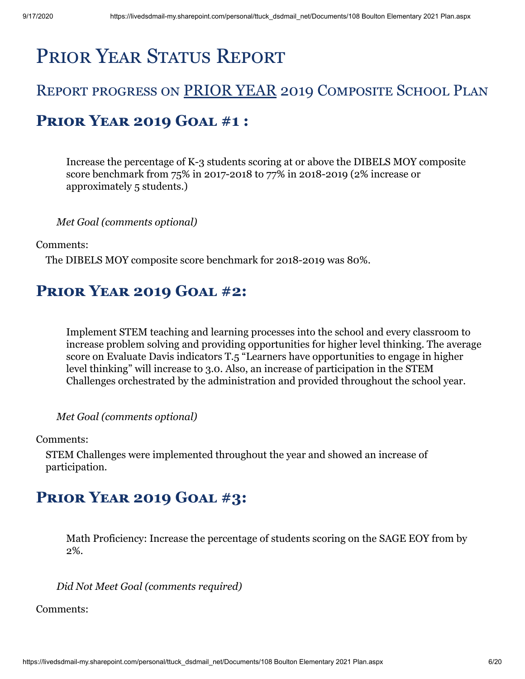# PRIOR YEAR STATUS REPORT

### REPORT PROGRESS ON PRIOR YEAR 2019 COMPOSITE SCHOOL PLAN

### **PRIOR YEAR 2019 GOAL #1:**

Increase the percentage of K-3 students scoring at or above the DIBELS MOY composite score benchmark from 75% in 2017-2018 to 77% in 2018-2019 (2% increase or approximately 5 students.)

*Met Goal (comments optional)* 

Comments:

The DIBELS MOY composite score benchmark for 2018-2019 was 80%.

### **PRIOR YEAR 2019 GOAL #2:**

Implement STEM teaching and learning processes into the school and every classroom to increase problem solving and providing opportunities for higher level thinking. The average score on Evaluate Davis indicators T.5 "Learners have opportunities to engage in higher level thinking" will increase to 3.0. Also, an increase of participation in the STEM Challenges orchestrated by the administration and provided throughout the school year.

*Met Goal (comments optional)* 

Comments:

STEM Challenges were implemented throughout the year and showed an increase of participation.

### **PRIOR YEAR 2019 GOAL #3:**

Math Proficiency: Increase the percentage of students scoring on the SAGE EOY from by 2%.

*Did Not Meet Goal (comments required)* 

Comments: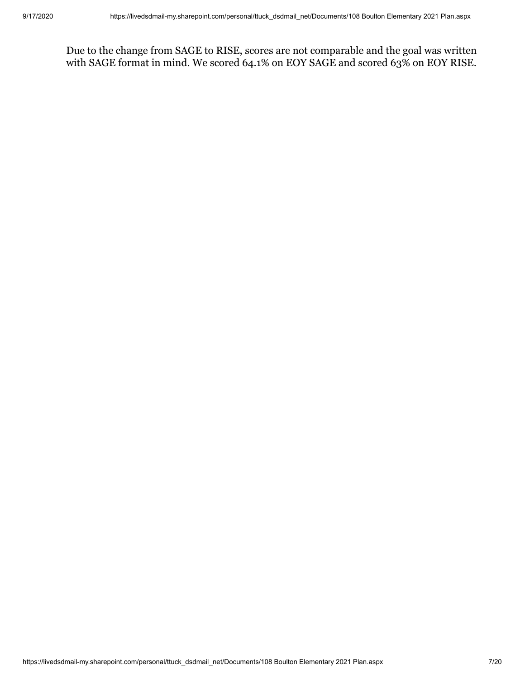Due to the change from SAGE to RISE, scores are not comparable and the goal was written with SAGE format in mind. We scored 64.1% on EOY SAGE and scored 63% on EOY RISE.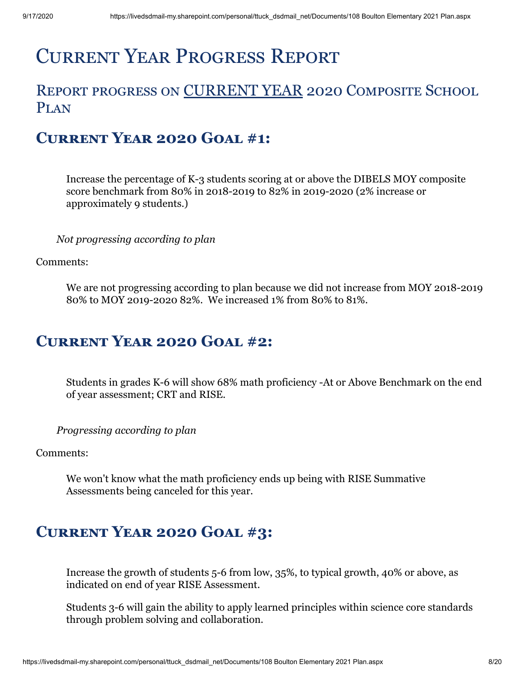# **CURRENT YEAR PROGRESS REPORT**

### REPORT PROGRESS ON CURRENT YEAR 2020 COMPOSITE SCHOOL **PLAN**

### **CURRENT YEAR 2020 GOAL #1:**

Increase the percentage of K-3 students scoring at or above the DIBELS MOY composite score benchmark from 80% in 2018-2019 to 82% in 2019-2020 (2% increase or approximately 9 students.)

*Not progressing according to plan*

Comments:

We are not progressing according to plan because we did not increase from MOY 2018-2019 80% to MOY 2019-2020 82%. We increased 1% from 80% to 81%.

### **CURRENT YEAR 2020 GOAL #2:**

Students in grades K-6 will show 68% math proficiency -At or Above Benchmark on the end of year assessment; CRT and RISE.

*Progressing according to plan*

Comments:

We won't know what the math proficiency ends up being with RISE Summative Assessments being canceled for this year.

### **CURRENT YEAR 2020 GOAL #3:**

Increase the growth of students 5-6 from low, 35%, to typical growth, 40% or above, as indicated on end of year RISE Assessment.

Students 3-6 will gain the ability to apply learned principles within science core standards through problem solving and collaboration.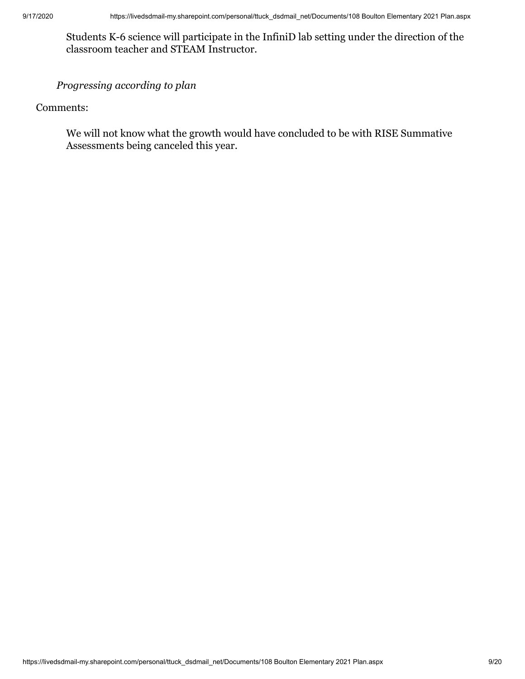Students K-6 science will participate in the InfiniD lab setting under the direction of the classroom teacher and STEAM Instructor.

*Progressing according to plan*

Comments:

We will not know what the growth would have concluded to be with RISE Summative Assessments being canceled this year.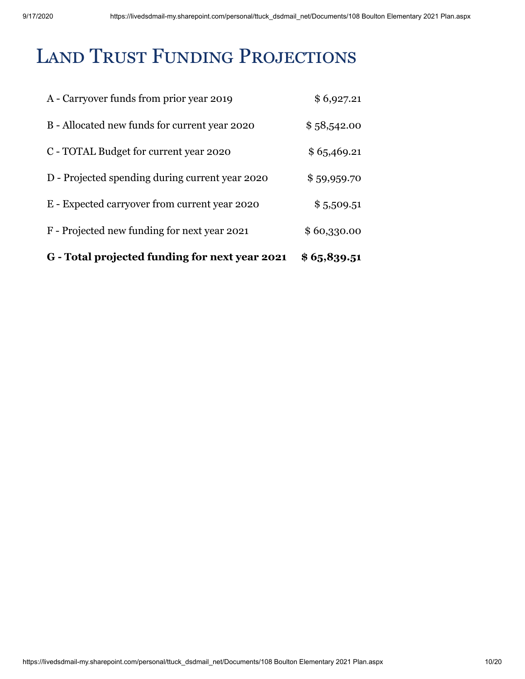# LAND TRUST FUNDING PROJECTIONS

| G - Total projected funding for next year 2021  | \$65,839.51  |
|-------------------------------------------------|--------------|
| F - Projected new funding for next year 2021    | \$60,330.00  |
| E - Expected carryover from current year 2020   | \$5,509.51   |
| D - Projected spending during current year 2020 | \$59,959.70  |
| C - TOTAL Budget for current year 2020          | \$6,5,469.21 |
| B - Allocated new funds for current year 2020   | \$58,542.00  |
| A - Carryover funds from prior year 2019        | \$6,927.21   |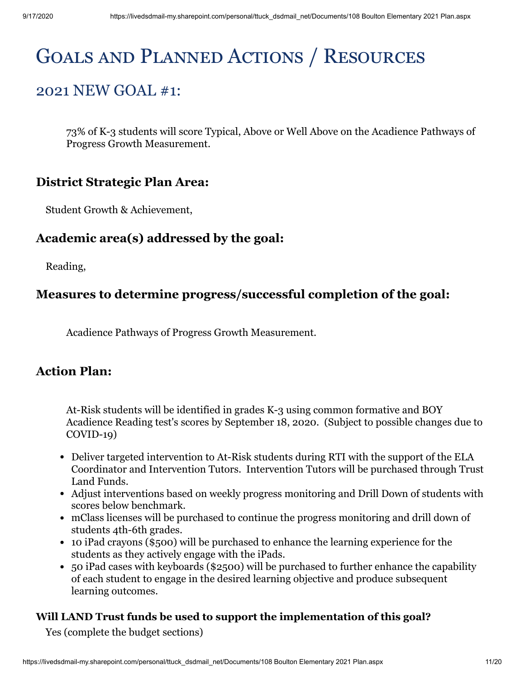# GOALS AND PLANNED ACTIONS / RESOURCES

### 2021 NEW GOAL #1:

73% of K-3 students will score Typical, Above or Well Above on the Acadience Pathways of Progress Growth Measurement.

#### **District Strategic Plan Area:**

Student Growth & Achievement,

### **Academic area(s) addressed by the goal:**

Reading,

### **Measures to determine progress/successful completion of the goal:**

Acadience Pathways of Progress Growth Measurement.

### **Action Plan:**

At-Risk students will be identified in grades K-3 using common formative and BOY Acadience Reading test's scores by September 18, 2020. (Subject to possible changes due to COVID-19)

- Deliver targeted intervention to At-Risk students during RTI with the support of the ELA Coordinator and Intervention Tutors. Intervention Tutors will be purchased through Trust Land Funds.
- Adjust interventions based on weekly progress monitoring and Drill Down of students with scores below benchmark.
- mClass licenses will be purchased to continue the progress monitoring and drill down of students 4th-6th grades.
- 10 iPad crayons (\$500) will be purchased to enhance the learning experience for the students as they actively engage with the iPads.
- 50 iPad cases with keyboards (\$2500) will be purchased to further enhance the capability of each student to engage in the desired learning objective and produce subsequent learning outcomes.

#### **Will LAND Trust funds be used to support the implementation of this goal?**

Yes (complete the budget sections)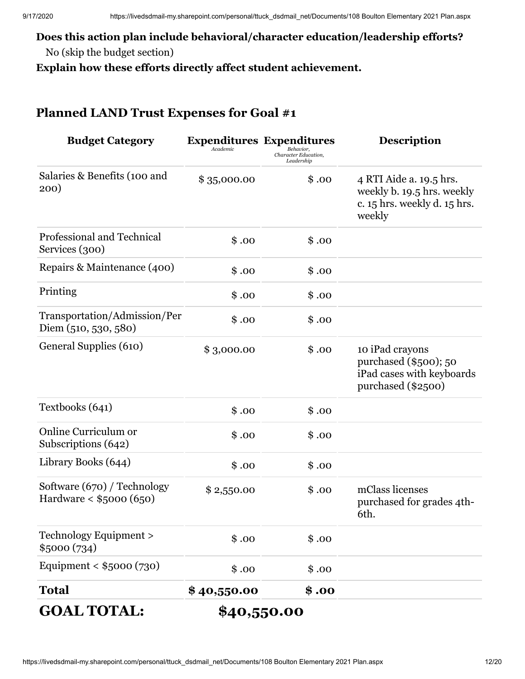### **Does this action plan include behavioral/character education/leadership efforts?**

No (skip the budget section)

**Explain how these efforts directly affect student achievement.**

| <b>Budget Category</b>                                  | Academic    | <b>Expenditures Expenditures</b><br>Behavior.<br>Character Education.<br>Leadership | <b>Description</b>                                                                              |
|---------------------------------------------------------|-------------|-------------------------------------------------------------------------------------|-------------------------------------------------------------------------------------------------|
| Salaries & Benefits (100 and<br>200)                    | \$35,000.00 | \$.00                                                                               | 4 RTI Aide a. 19.5 hrs.<br>weekly b. 19.5 hrs. weekly<br>c. 15 hrs. weekly d. 15 hrs.<br>weekly |
| <b>Professional and Technical</b><br>Services (300)     | \$.00       | \$.00                                                                               |                                                                                                 |
| Repairs & Maintenance (400)                             | \$.00       | \$.00                                                                               |                                                                                                 |
| Printing                                                | \$.00       | \$.00                                                                               |                                                                                                 |
| Transportation/Admission/Per<br>Diem (510, 530, 580)    | \$.00       | \$.00                                                                               |                                                                                                 |
| General Supplies (610)                                  | \$3,000.00  | \$.00                                                                               | 10 iPad crayons<br>purchased (\$500); 50<br>iPad cases with keyboards<br>purchased (\$2500)     |
| Textbooks (641)                                         | \$.00       | \$.00                                                                               |                                                                                                 |
| Online Curriculum or<br>Subscriptions (642)             | \$.00       | \$.00                                                                               |                                                                                                 |
| Library Books (644)                                     | \$.00       | \$.00                                                                               |                                                                                                 |
| Software (670) / Technology<br>Hardware < $$5000 (650)$ | \$2,550.00  | \$.00                                                                               | mClass licenses<br>purchased for grades 4th-<br>6th.                                            |
| Technology Equipment ><br>\$5000 (734)                  | \$.00       | \$.00                                                                               |                                                                                                 |
| Equipment < $$5000 (730)$                               | \$.00       | \$.00                                                                               |                                                                                                 |
| <b>Total</b>                                            | \$40,550.00 | \$.00                                                                               |                                                                                                 |
| <b>GOAL TOTAL:</b>                                      |             | \$40,550.00                                                                         |                                                                                                 |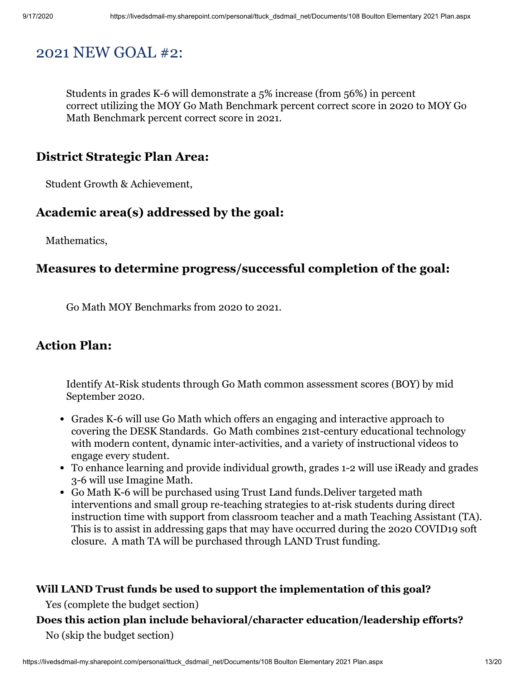### 2021 NEW GOAL #2:

Students in grades K-6 will demonstrate a 5% increase (from 56%) in percent correct utilizing the MOY Go Math Benchmark percent correct score in 2020 to MOY Go Math Benchmark percent correct score in 2021.

### **District Strategic Plan Area:**

Student Growth & Achievement,

#### **Academic area(s) addressed by the goal:**

Mathematics,

#### **Measures to determine progress/successful completion of the goal:**

Go Math MOY Benchmarks from 2020 to 2021.

### **Action Plan:**

Identify At-Risk students through Go Math common assessment scores (BOY) by mid September 2020.

- Grades K-6 will use Go Math which offers an engaging and interactive approach to covering the DESK Standards. Go Math combines 21st-century educational technology with modern content, dynamic inter-activities, and a variety of instructional videos to engage every student.
- To enhance learning and provide individual growth, grades 1-2 will use iReady and grades 3-6 will use Imagine Math.
- Go Math K-6 will be purchased using Trust Land funds.Deliver targeted math interventions and small group re-teaching strategies to at-risk students during direct instruction time with support from classroom teacher and a math Teaching Assistant (TA). This is to assist in addressing gaps that may have occurred during the 2020 COVID19 soft closure. A math TA will be purchased through LAND Trust funding.

#### **Will LAND Trust funds be used to support the implementation of this goal?**

Yes (complete the budget section)

#### **Does this action plan include behavioral/character education/leadership efforts?**

No (skip the budget section)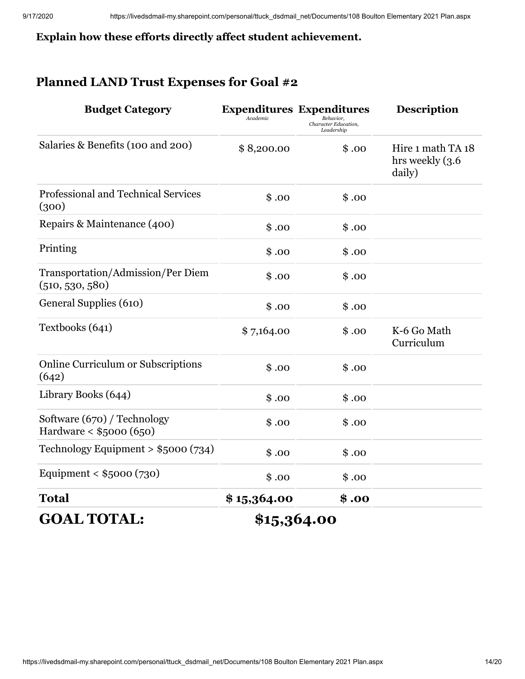#### **Explain how these efforts directly affect student achievement.**

| <b>Budget Category</b>                                 | Academic    | <b>Expenditures Expenditures</b><br>Behavior.<br>Character Education,<br>Leadership | <b>Description</b>                                |
|--------------------------------------------------------|-------------|-------------------------------------------------------------------------------------|---------------------------------------------------|
| Salaries & Benefits (100 and 200)                      | \$8,200.00  | \$.00                                                                               | Hire 1 math TA 18<br>hrs weekly $(3.6)$<br>daily) |
| <b>Professional and Technical Services</b><br>(300)    | \$.00       | \$.00                                                                               |                                                   |
| Repairs & Maintenance (400)                            | \$.00       | \$.00                                                                               |                                                   |
| Printing                                               | \$.00       | \$.00                                                                               |                                                   |
| Transportation/Admission/Per Diem<br>(510, 530, 580)   | \$.00       | \$.00                                                                               |                                                   |
| General Supplies (610)                                 | \$.00       | \$.00                                                                               |                                                   |
| Textbooks (641)                                        | \$7,164.00  | \$.00                                                                               | K-6 Go Math<br>Curriculum                         |
| Online Curriculum or Subscriptions<br>(642)            | \$.00       | \$.00                                                                               |                                                   |
| Library Books (644)                                    | \$.00       | \$.00                                                                               |                                                   |
| Software (670) / Technology<br>Hardware < \$5000 (650) | \$.00       | \$.00                                                                               |                                                   |
| Technology Equipment > $$5000 (734)$                   | \$.00       | \$.00                                                                               |                                                   |
| Equipment < $$5000 (730)$                              | \$.00       | \$.00                                                                               |                                                   |
| <b>Total</b>                                           | \$15,364.00 | \$.00                                                                               |                                                   |
| <b>GOAL TOTAL:</b>                                     | \$15,364.00 |                                                                                     |                                                   |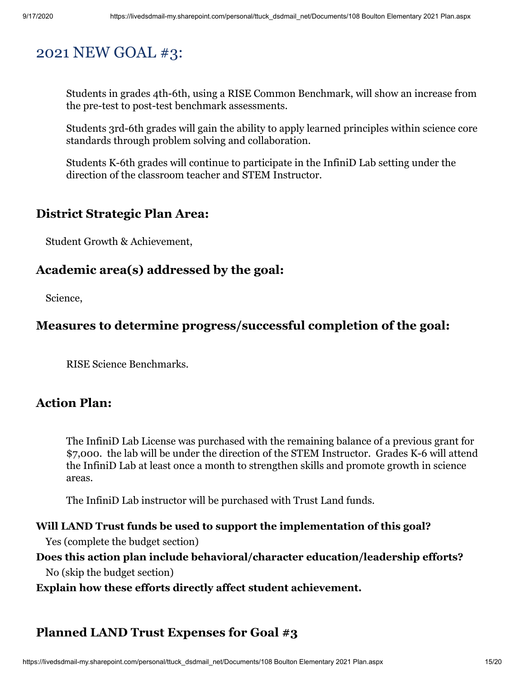### 2021 NEW GOAL #3:

Students in grades 4th-6th, using a RISE Common Benchmark, will show an increase from the pre-test to post-test benchmark assessments.

Students 3rd-6th grades will gain the ability to apply learned principles within science core standards through problem solving and collaboration.

Students K-6th grades will continue to participate in the InfiniD Lab setting under the direction of the classroom teacher and STEM Instructor.

### **District Strategic Plan Area:**

Student Growth & Achievement,

### **Academic area(s) addressed by the goal:**

Science,

### **Measures to determine progress/successful completion of the goal:**

RISE Science Benchmarks.

### **Action Plan:**

The InfiniD Lab License was purchased with the remaining balance of a previous grant for \$7,000. the lab will be under the direction of the STEM Instructor. Grades K-6 will attend the InfiniD Lab at least once a month to strengthen skills and promote growth in science areas.

The InfiniD Lab instructor will be purchased with Trust Land funds.

#### **Will LAND Trust funds be used to support the implementation of this goal?**

Yes (complete the budget section)

**Does this action plan include behavioral/character education/leadership efforts?** No (skip the budget section)

**Explain how these efforts directly affect student achievement.**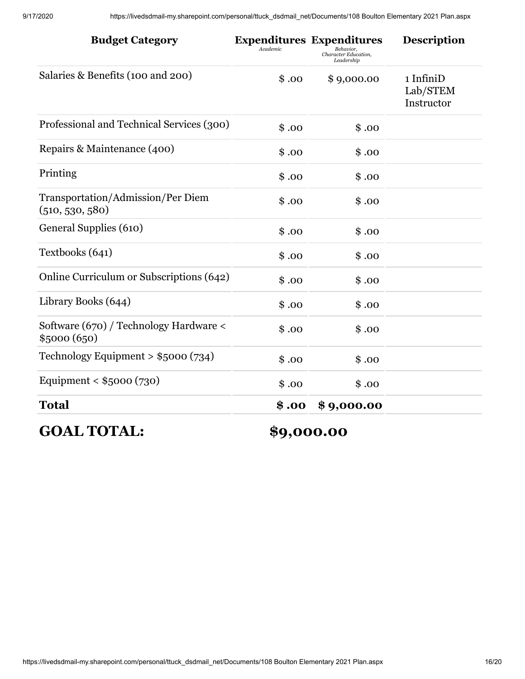| <b>Budget Category</b>                                      | Academic   | <b>Expenditures Expenditures</b><br>Behavior,<br>Character Education,<br>Leadership | <b>Description</b>                  |
|-------------------------------------------------------------|------------|-------------------------------------------------------------------------------------|-------------------------------------|
| Salaries & Benefits (100 and 200)                           | \$.00      | \$9,000.00                                                                          | 1 InfiniD<br>Lab/STEM<br>Instructor |
| Professional and Technical Services (300)                   | \$.00      | \$.00                                                                               |                                     |
| Repairs & Maintenance (400)                                 | \$.00      | \$.00                                                                               |                                     |
| Printing                                                    | \$.00      | \$.00                                                                               |                                     |
| <b>Transportation/Admission/Per Diem</b><br>(510, 530, 580) | \$.00      | \$.00                                                                               |                                     |
| General Supplies (610)                                      | \$.00      | \$.00                                                                               |                                     |
| Textbooks (641)                                             | \$.00      | \$.00                                                                               |                                     |
| Online Curriculum or Subscriptions (642)                    | \$.00      | \$.00                                                                               |                                     |
| Library Books (644)                                         | \$.00      | \$.00                                                                               |                                     |
| Software (670) / Technology Hardware <<br>\$5000(650)       | \$.00      | \$.00                                                                               |                                     |
| Technology Equipment > $$5000 (734)$                        | \$.00      | \$.00                                                                               |                                     |
| Equipment < $$5000 (730)$                                   | \$.00      | \$.00                                                                               |                                     |
| Total                                                       | \$.00      | \$9,000.00                                                                          |                                     |
| <b>GOAL TOTAL:</b>                                          | \$9,000.00 |                                                                                     |                                     |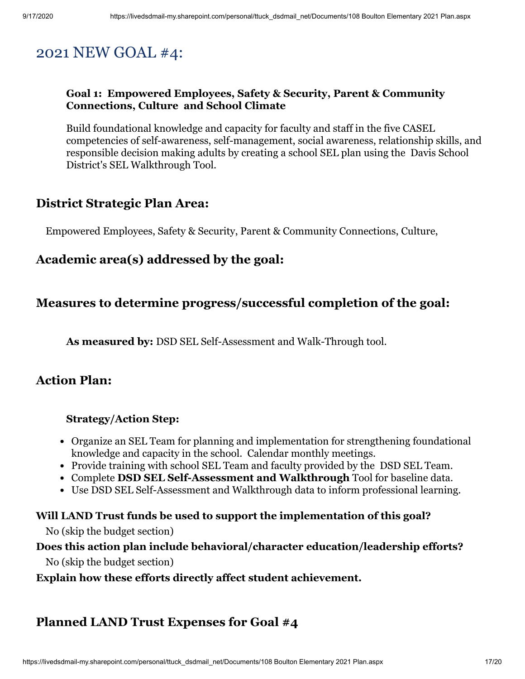## 2021 NEW GOAL #4:

#### **Goal 1: Empowered Employees, Safety & Security, Parent & Community Connections, Culture and School Climate**

Build foundational knowledge and capacity for faculty and staff in the five CASEL competencies of self-awareness, self-management, social awareness, relationship skills, and responsible decision making adults by creating a school SEL plan using the Davis School District's SEL Walkthrough Tool.

#### **District Strategic Plan Area:**

Empowered Employees, Safety & Security, Parent & Community Connections, Culture,

#### **Academic area(s) addressed by the goal:**

#### **Measures to determine progress/successful completion of the goal:**

**As measured by:** DSD SEL Self-Assessment and Walk-Through tool.

### **Action Plan:**

#### **Strategy/Action Step:**

- Organize an SEL Team for planning and implementation for strengthening foundational knowledge and capacity in the school. Calendar monthly meetings.
- Provide training with school SEL Team and faculty provided by the DSD SEL Team.
- Complete **DSD SEL Self-Assessment and Walkthrough** Tool for baseline data.
- Use DSD SEL Self-Assessment and Walkthrough data to inform professional learning.

#### **Will LAND Trust funds be used to support the implementation of this goal?**

No (skip the budget section)

#### **Does this action plan include behavioral/character education/leadership efforts?**

No (skip the budget section)

#### **Explain how these efforts directly affect student achievement.**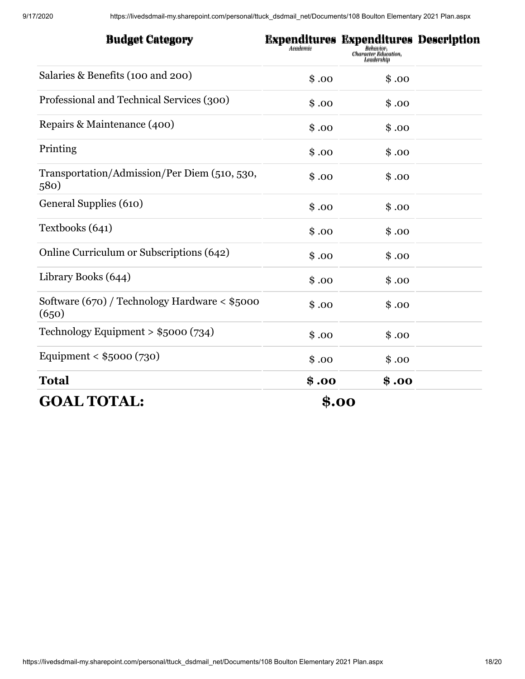| <b>Budget Category</b>                                   | Academic | <b>Expenditures Expenditures Description</b><br>Behauiar.<br>Character Education,<br>Leadership |  |
|----------------------------------------------------------|----------|-------------------------------------------------------------------------------------------------|--|
| Salaries & Benefits (100 and 200)                        | \$.00    | \$.00                                                                                           |  |
| Professional and Technical Services (300)                | \$.00    | \$.00                                                                                           |  |
| Repairs & Maintenance (400)                              | \$.00    | \$.00                                                                                           |  |
| Printing                                                 | \$.00    | \$.00                                                                                           |  |
| Transportation/Admission/Per Diem (510, 530,<br>580)     | \$.00    | \$.00                                                                                           |  |
| General Supplies (610)                                   | \$.00    | \$.00                                                                                           |  |
| Textbooks (641)                                          | \$.00    | \$.00                                                                                           |  |
| Online Curriculum or Subscriptions (642)                 | \$.00    | \$.00                                                                                           |  |
| Library Books (644)                                      | \$.00    | \$.00                                                                                           |  |
| Software $(670)$ / Technology Hardware < \$5000<br>(650) | \$.00    | \$.00                                                                                           |  |
| Technology Equipment > $$5000 (734)$                     | \$.00    | \$.00                                                                                           |  |
| Equipment < $$5000 (730)$                                | \$.00    | \$.00                                                                                           |  |
| <b>Total</b>                                             | \$.00    | \$.00                                                                                           |  |
| <b>GOAL TOTAL:</b>                                       | \$.00    |                                                                                                 |  |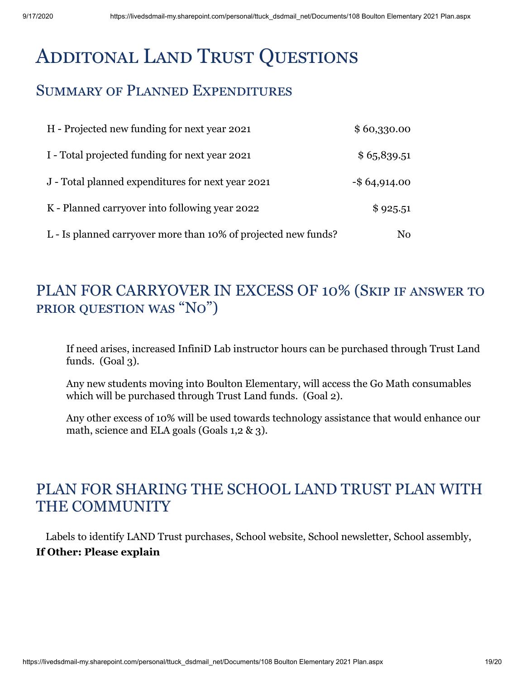# ADDITONAL LAND TRUST QUESTIONS

## **SUMMARY OF PLANNED EXPENDITURES**

| H - Projected new funding for next year 2021                   | \$60,330.00     |
|----------------------------------------------------------------|-----------------|
| I - Total projected funding for next year 2021                 | \$6,5,839.51    |
| J - Total planned expenditures for next year 2021              | $-$ \$64,914.00 |
| K - Planned carryover into following year 2022                 | \$925.51        |
| L - Is planned carryover more than 10% of projected new funds? | No              |

## PLAN FOR CARRYOVER IN EXCESS OF 10% (SKIP IF ANSWER TO PRIOR QUESTION WAS "NO")

If need arises, increased InfiniD Lab instructor hours can be purchased through Trust Land funds. (Goal 3).

Any new students moving into Boulton Elementary, will access the Go Math consumables which will be purchased through Trust Land funds. (Goal 2).

Any other excess of 10% will be used towards technology assistance that would enhance our math, science and ELA goals (Goals 1,2 & 3).

## PLAN FOR SHARING THE SCHOOL LAND TRUST PLAN WITH THE COMMUNITY

Labels to identify LAND Trust purchases, School website, School newsletter, School assembly, **If Other: Please explain**